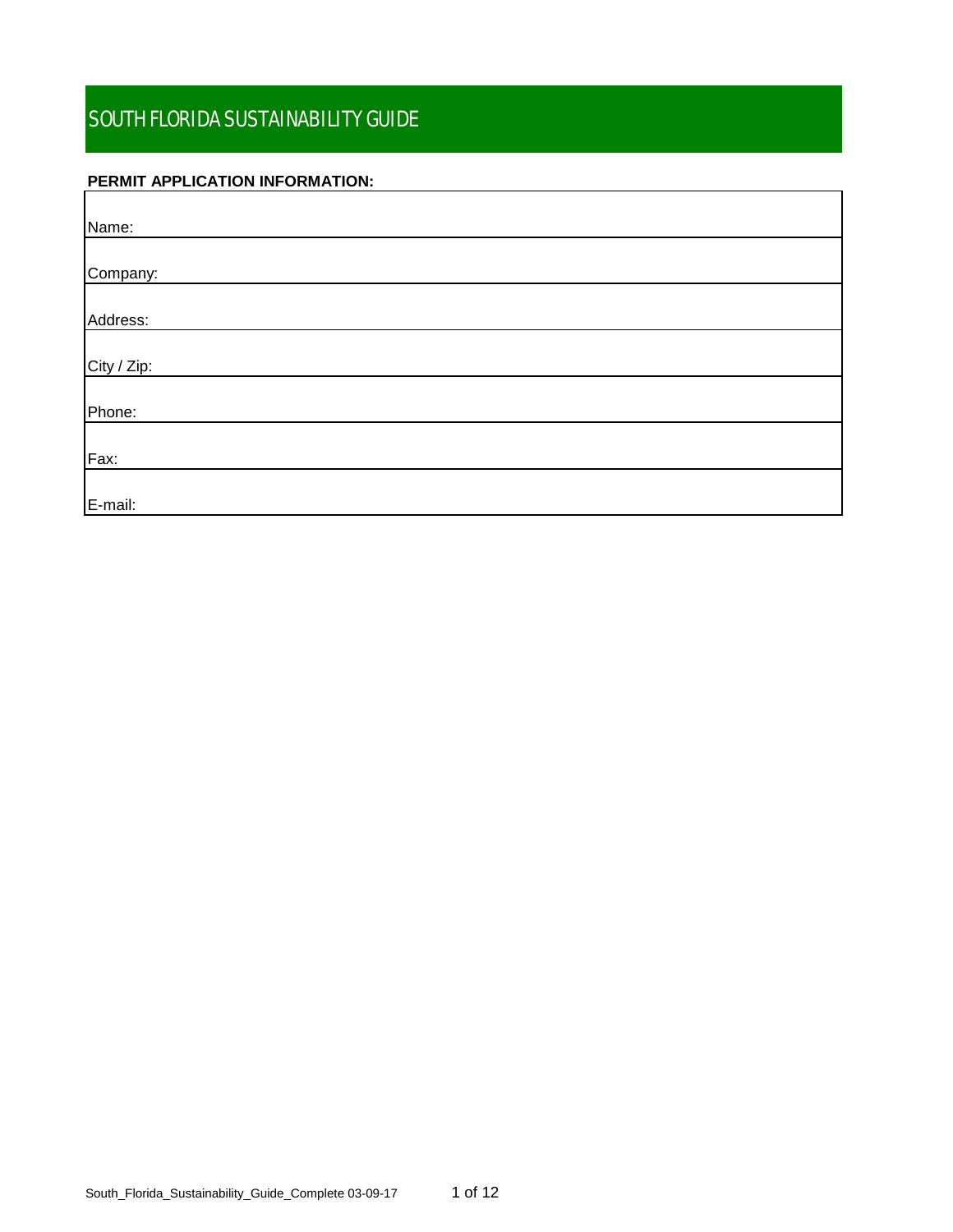# **PERMIT APPLICATION INFORMATION:**

| Name:       |  |
|-------------|--|
|             |  |
| Company:    |  |
|             |  |
| Address:    |  |
|             |  |
| City / Zip: |  |
|             |  |
| Phone:      |  |
|             |  |
| Fax:        |  |
|             |  |
| E-mail:     |  |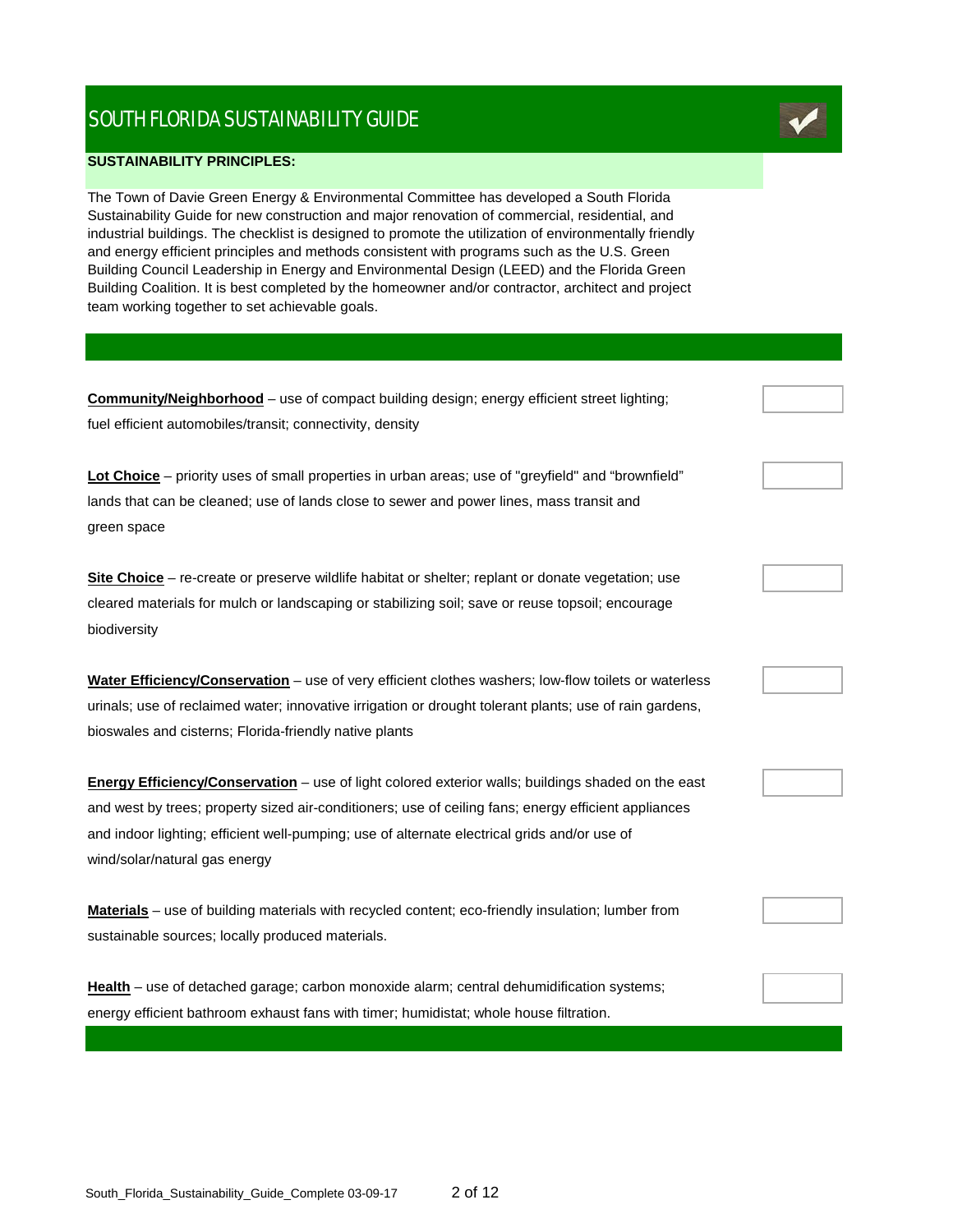#### **SUSTAINABILITY PRINCIPLES:**

The Town of Davie Green Energy & Environmental Committee has developed a South Florida Sustainability Guide for new construction and major renovation of commercial, residential, and industrial buildings. The checklist is designed to promote the utilization of environmentally friendly and energy efficient principles and methods consistent with programs such as the U.S. Green Building Council Leadership in Energy and Environmental Design (LEED) and the Florida Green Building Coalition. It is best completed by the homeowner and/or contractor, architect and project team working together to set achievable goals.

| <b>Community/Neighborhood</b> - use of compact building design; energy efficient street lighting;       |  |
|---------------------------------------------------------------------------------------------------------|--|
| fuel efficient automobiles/transit; connectivity, density                                               |  |
|                                                                                                         |  |
| Lot Choice – priority uses of small properties in urban areas; use of "greyfield" and "brownfield"      |  |
| lands that can be cleaned; use of lands close to sewer and power lines, mass transit and                |  |
| green space                                                                                             |  |
| Site Choice - re-create or preserve wildlife habitat or shelter; replant or donate vegetation; use      |  |
| cleared materials for mulch or landscaping or stabilizing soil; save or reuse topsoil; encourage        |  |
| biodiversity                                                                                            |  |
|                                                                                                         |  |
| Water Efficiency/Conservation - use of very efficient clothes washers; low-flow toilets or waterless    |  |
| urinals; use of reclaimed water; innovative irrigation or drought tolerant plants; use of rain gardens, |  |
| bioswales and cisterns; Florida-friendly native plants                                                  |  |
| Energy Efficiency/Conservation - use of light colored exterior walls; buildings shaded on the east      |  |
| and west by trees; property sized air-conditioners; use of ceiling fans; energy efficient appliances    |  |
| and indoor lighting; efficient well-pumping; use of alternate electrical grids and/or use of            |  |
| wind/solar/natural gas energy                                                                           |  |
| Materials - use of building materials with recycled content; eco-friendly insulation; lumber from       |  |
| sustainable sources; locally produced materials.                                                        |  |
|                                                                                                         |  |
| Health - use of detached garage; carbon monoxide alarm; central dehumidification systems;               |  |
| energy efficient bathroom exhaust fans with timer; humidistat; whole house filtration.                  |  |

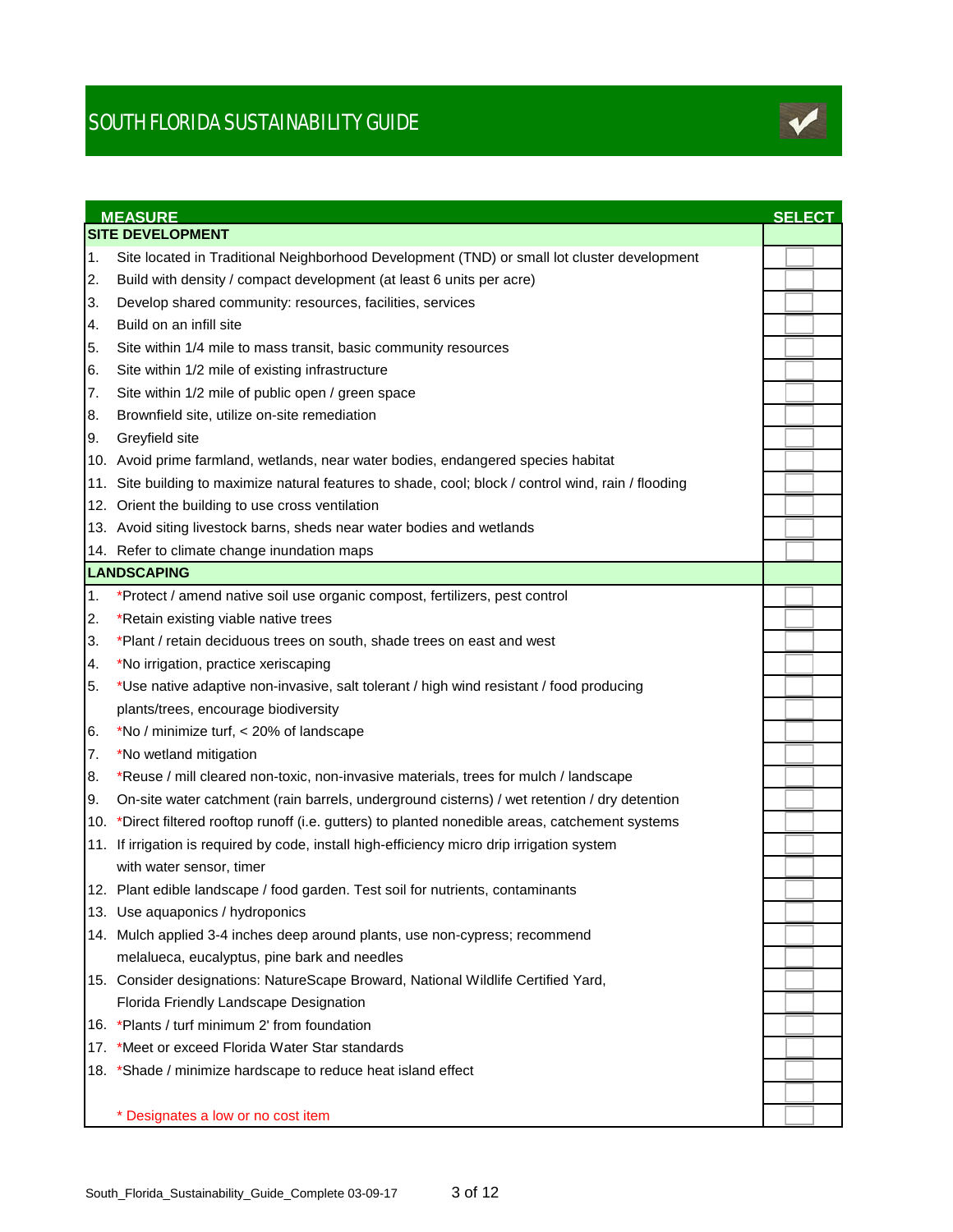

|     | <b>MEASURE</b><br><b>SITE DEVELOPMENT</b>                                                            | <b>SELECT</b> |  |
|-----|------------------------------------------------------------------------------------------------------|---------------|--|
| 1.  | Site located in Traditional Neighborhood Development (TND) or small lot cluster development          |               |  |
| 2.  | Build with density / compact development (at least 6 units per acre)                                 |               |  |
| 3.  | Develop shared community: resources, facilities, services                                            |               |  |
| 4.  | Build on an infill site                                                                              |               |  |
| 5.  | Site within 1/4 mile to mass transit, basic community resources                                      |               |  |
| 6.  | Site within 1/2 mile of existing infrastructure                                                      |               |  |
| 7.  |                                                                                                      |               |  |
|     | Site within 1/2 mile of public open / green space<br>Brownfield site, utilize on-site remediation    |               |  |
| 8.  |                                                                                                      |               |  |
| 9.  | Greyfield site                                                                                       |               |  |
|     | 10. Avoid prime farmland, wetlands, near water bodies, endangered species habitat                    |               |  |
|     | 11. Site building to maximize natural features to shade, cool; block / control wind, rain / flooding |               |  |
|     | 12. Orient the building to use cross ventilation                                                     |               |  |
|     | 13. Avoid siting livestock barns, sheds near water bodies and wetlands                               |               |  |
|     | 14. Refer to climate change inundation maps                                                          |               |  |
|     | LANDSCAPING                                                                                          |               |  |
| 1.  | *Protect / amend native soil use organic compost, fertilizers, pest control                          |               |  |
| 2.  | *Retain existing viable native trees                                                                 |               |  |
| 3.  | *Plant / retain deciduous trees on south, shade trees on east and west                               |               |  |
| 4.  | *No irrigation, practice xeriscaping                                                                 |               |  |
| 5.  | *Use native adaptive non-invasive, salt tolerant / high wind resistant / food producing              |               |  |
|     | plants/trees, encourage biodiversity                                                                 |               |  |
| 6.  | *No / minimize turf, < 20% of landscape                                                              |               |  |
| 7.  | *No wetland mitigation                                                                               |               |  |
| 8.  | *Reuse / mill cleared non-toxic, non-invasive materials, trees for mulch / landscape                 |               |  |
| Ι9. | On-site water catchment (rain barrels, underground cisterns) / wet retention / dry detention         |               |  |
|     | 10. *Direct filtered rooftop runoff (i.e. gutters) to planted nonedible areas, catchement systems    |               |  |
|     | 11. If irrigation is required by code, install high-efficiency micro drip irrigation system          |               |  |
|     | with water sensor, timer                                                                             |               |  |
|     | 12. Plant edible landscape / food garden. Test soil for nutrients, contaminants                      |               |  |
|     | 13. Use aquaponics / hydroponics                                                                     |               |  |
|     | 14. Mulch applied 3-4 inches deep around plants, use non-cypress; recommend                          |               |  |
|     | melalueca, eucalyptus, pine bark and needles                                                         |               |  |
|     | 15. Consider designations: NatureScape Broward, National Wildlife Certified Yard,                    |               |  |
|     | Florida Friendly Landscape Designation                                                               |               |  |
|     | 16. *Plants / turf minimum 2' from foundation                                                        |               |  |
|     | 17. *Meet or exceed Florida Water Star standards                                                     |               |  |
|     | 18. *Shade / minimize hardscape to reduce heat island effect                                         |               |  |
|     |                                                                                                      |               |  |
|     | * Designates a low or no cost item                                                                   |               |  |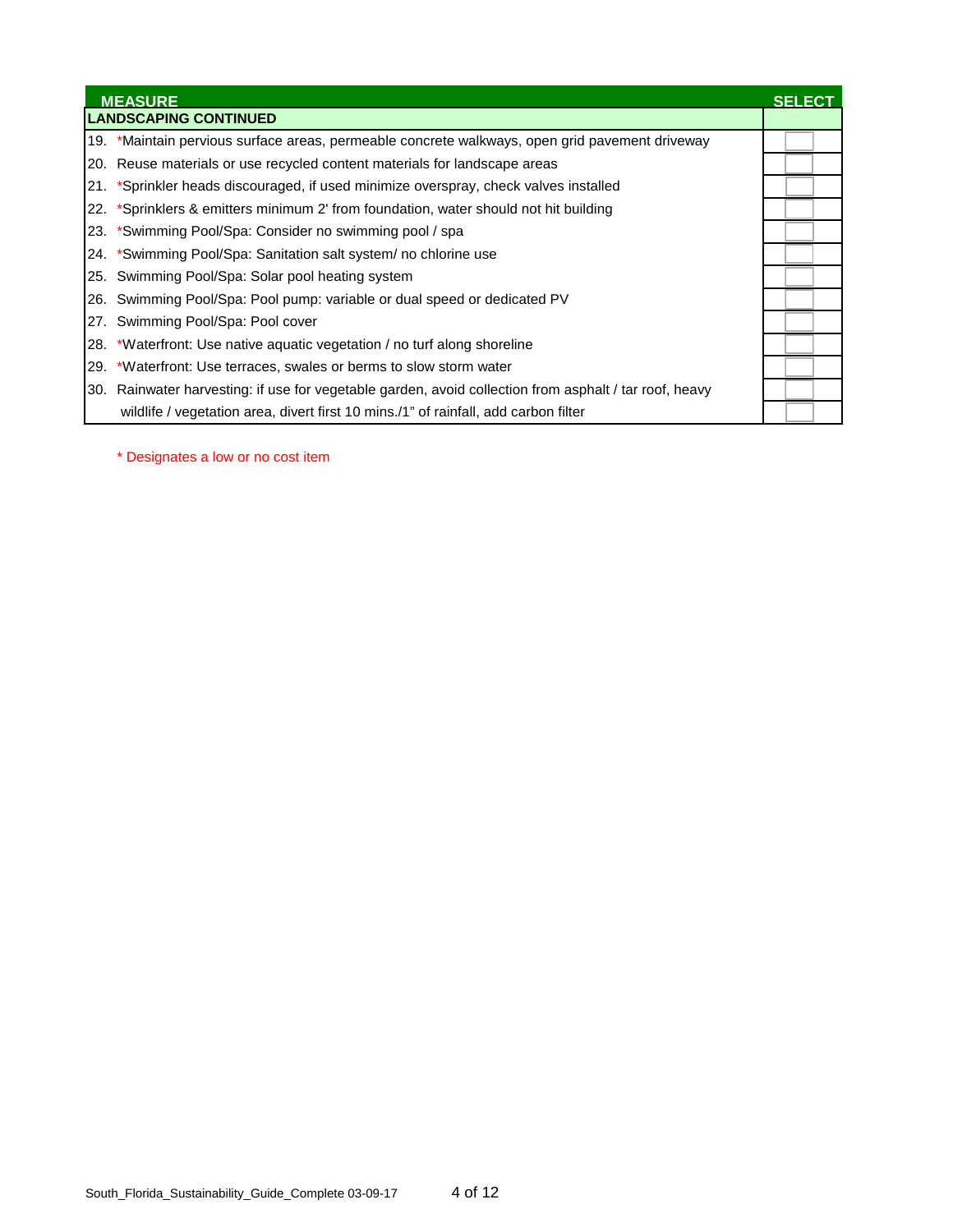| <b>MEASURE</b>                                                                                         | SELECT |
|--------------------------------------------------------------------------------------------------------|--------|
| <b>LANDSCAPING CONTINUED</b>                                                                           |        |
| 19. *Maintain pervious surface areas, permeable concrete walkways, open grid pavement driveway         |        |
| 20. Reuse materials or use recycled content materials for landscape areas                              |        |
| 21. *Sprinkler heads discouraged, if used minimize overspray, check valves installed                   |        |
| 22. *Sprinklers & emitters minimum 2' from foundation, water should not hit building                   |        |
| 23. *Swimming Pool/Spa: Consider no swimming pool / spa                                                |        |
| 24. *Swimming Pool/Spa: Sanitation salt system/ no chlorine use                                        |        |
| 25. Swimming Pool/Spa: Solar pool heating system                                                       |        |
| 26. Swimming Pool/Spa: Pool pump: variable or dual speed or dedicated PV                               |        |
| 27. Swimming Pool/Spa: Pool cover                                                                      |        |
| 28. *Waterfront: Use native aquatic vegetation / no turf along shoreline                               |        |
| 29. *Waterfront: Use terraces, swales or berms to slow storm water                                     |        |
| 30. Rainwater harvesting: if use for vegetable garden, avoid collection from asphalt / tar roof, heavy |        |
| wildlife / vegetation area, divert first 10 mins./1" of rainfall, add carbon filter                    |        |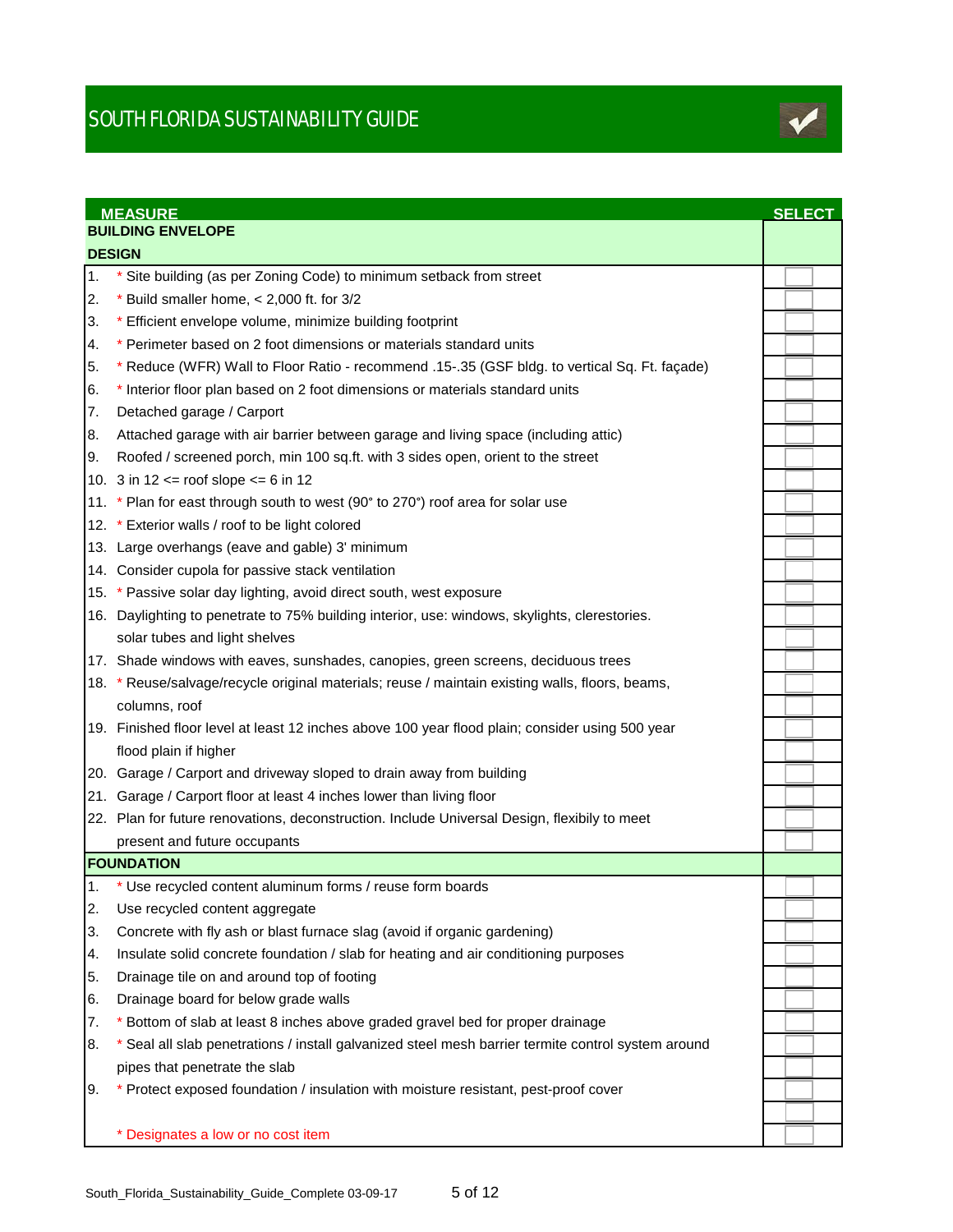

|     | <b>MEASURE</b>                                                                                     | <b>SELECT</b> |
|-----|----------------------------------------------------------------------------------------------------|---------------|
|     | <b>BUILDING ENVELOPE</b>                                                                           |               |
|     | <b>DESIGN</b>                                                                                      |               |
| 1.  | * Site building (as per Zoning Code) to minimum setback from street                                |               |
| 2.  | * Build smaller home, $< 2,000$ ft. for 3/2                                                        |               |
| 3.  | * Efficient envelope volume, minimize building footprint                                           |               |
| 4.  | * Perimeter based on 2 foot dimensions or materials standard units                                 |               |
| 5.  | * Reduce (WFR) Wall to Floor Ratio - recommend .15-.35 (GSF bldg. to vertical Sq. Ft. façade)      |               |
| 6.  | * Interior floor plan based on 2 foot dimensions or materials standard units                       |               |
| 7.  | Detached garage / Carport                                                                          |               |
| 8.  | Attached garage with air barrier between garage and living space (including attic)                 |               |
| Ι9. | Roofed / screened porch, min 100 sq.ft. with 3 sides open, orient to the street                    |               |
|     | 10. 3 in $12 \le$ roof slope $\le$ 6 in 12                                                         |               |
|     | 11. * Plan for east through south to west (90° to 270°) roof area for solar use                    |               |
|     | 12. * Exterior walls / roof to be light colored                                                    |               |
|     | 13. Large overhangs (eave and gable) 3' minimum                                                    |               |
|     | 14. Consider cupola for passive stack ventilation                                                  |               |
|     | 15. * Passive solar day lighting, avoid direct south, west exposure                                |               |
|     | 16. Daylighting to penetrate to 75% building interior, use: windows, skylights, clerestories.      |               |
|     | solar tubes and light shelves                                                                      |               |
|     | 17. Shade windows with eaves, sunshades, canopies, green screens, deciduous trees                  |               |
|     | 18. * Reuse/salvage/recycle original materials; reuse / maintain existing walls, floors, beams,    |               |
|     | columns, roof                                                                                      |               |
|     | 19. Finished floor level at least 12 inches above 100 year flood plain; consider using 500 year    |               |
|     | flood plain if higher                                                                              |               |
|     | 20. Garage / Carport and driveway sloped to drain away from building                               |               |
|     | 21. Garage / Carport floor at least 4 inches lower than living floor                               |               |
|     | 22. Plan for future renovations, deconstruction. Include Universal Design, flexibily to meet       |               |
|     | present and future occupants                                                                       |               |
|     | <b>FOUNDATION</b>                                                                                  |               |
| 1.  | * Use recycled content aluminum forms / reuse form boards                                          |               |
| 2.  | Use recycled content aggregate                                                                     |               |
| 3.  | Concrete with fly ash or blast furnace slag (avoid if organic gardening)                           |               |
| 4.  | Insulate solid concrete foundation / slab for heating and air conditioning purposes                |               |
| 5.  | Drainage tile on and around top of footing                                                         |               |
| 6.  | Drainage board for below grade walls                                                               |               |
| 7.  | * Bottom of slab at least 8 inches above graded gravel bed for proper drainage                     |               |
| 8.  | * Seal all slab penetrations / install galvanized steel mesh barrier termite control system around |               |
|     | pipes that penetrate the slab                                                                      |               |
| 9.  | * Protect exposed foundation / insulation with moisture resistant, pest-proof cover                |               |
|     |                                                                                                    |               |
|     | * Designates a low or no cost item                                                                 |               |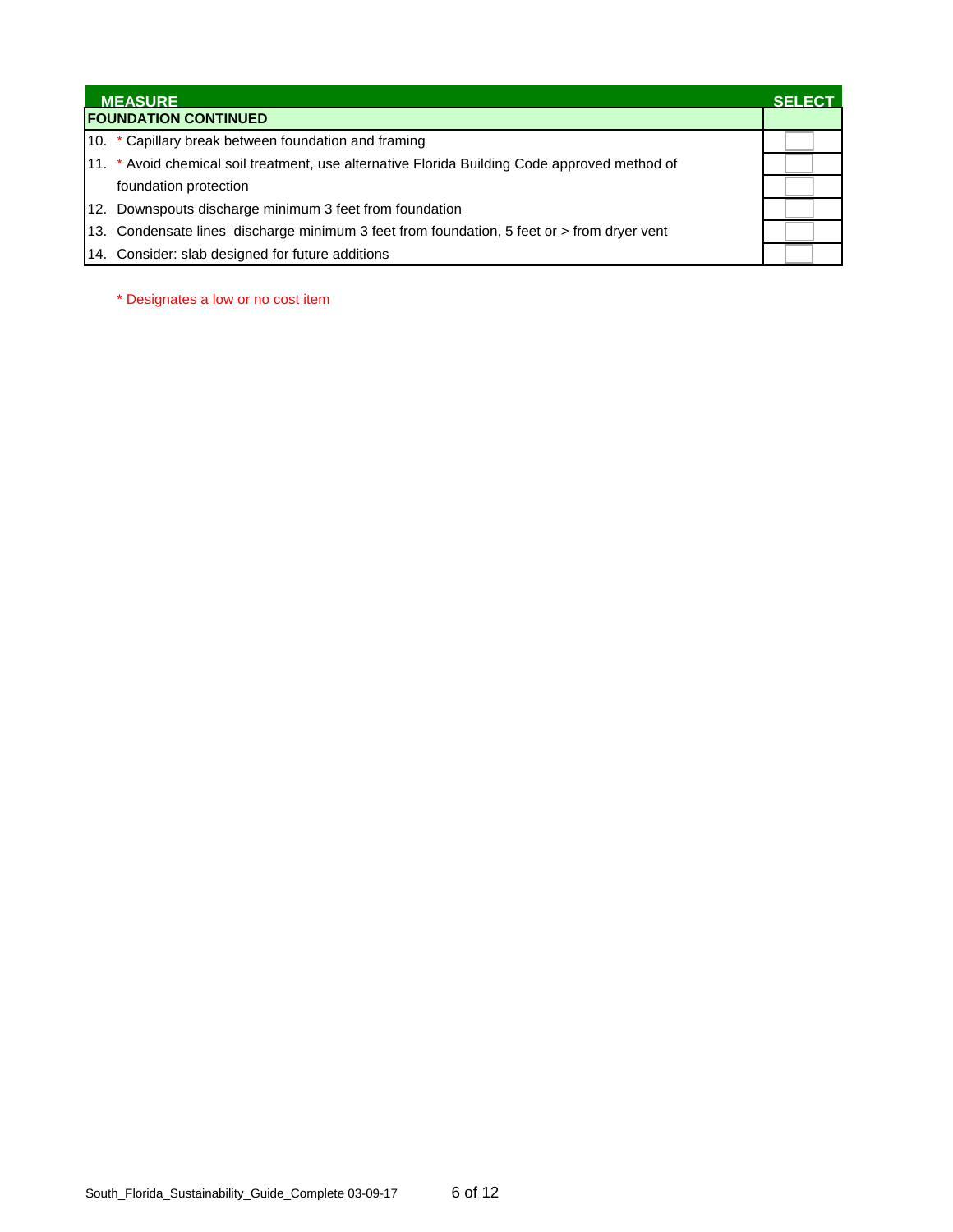|                             | <b>MEASURE</b>                                                                                | <b>SELECT</b> |
|-----------------------------|-----------------------------------------------------------------------------------------------|---------------|
| <b>FOUNDATION CONTINUED</b> |                                                                                               |               |
|                             | 10. * Capillary break between foundation and framing                                          |               |
|                             | 11. * Avoid chemical soil treatment, use alternative Florida Building Code approved method of |               |
|                             | foundation protection                                                                         |               |
|                             | 12. Downspouts discharge minimum 3 feet from foundation                                       |               |
|                             | 13. Condensate lines discharge minimum 3 feet from foundation, 5 feet or > from dryer vent    |               |
|                             | 14. Consider: slab designed for future additions                                              |               |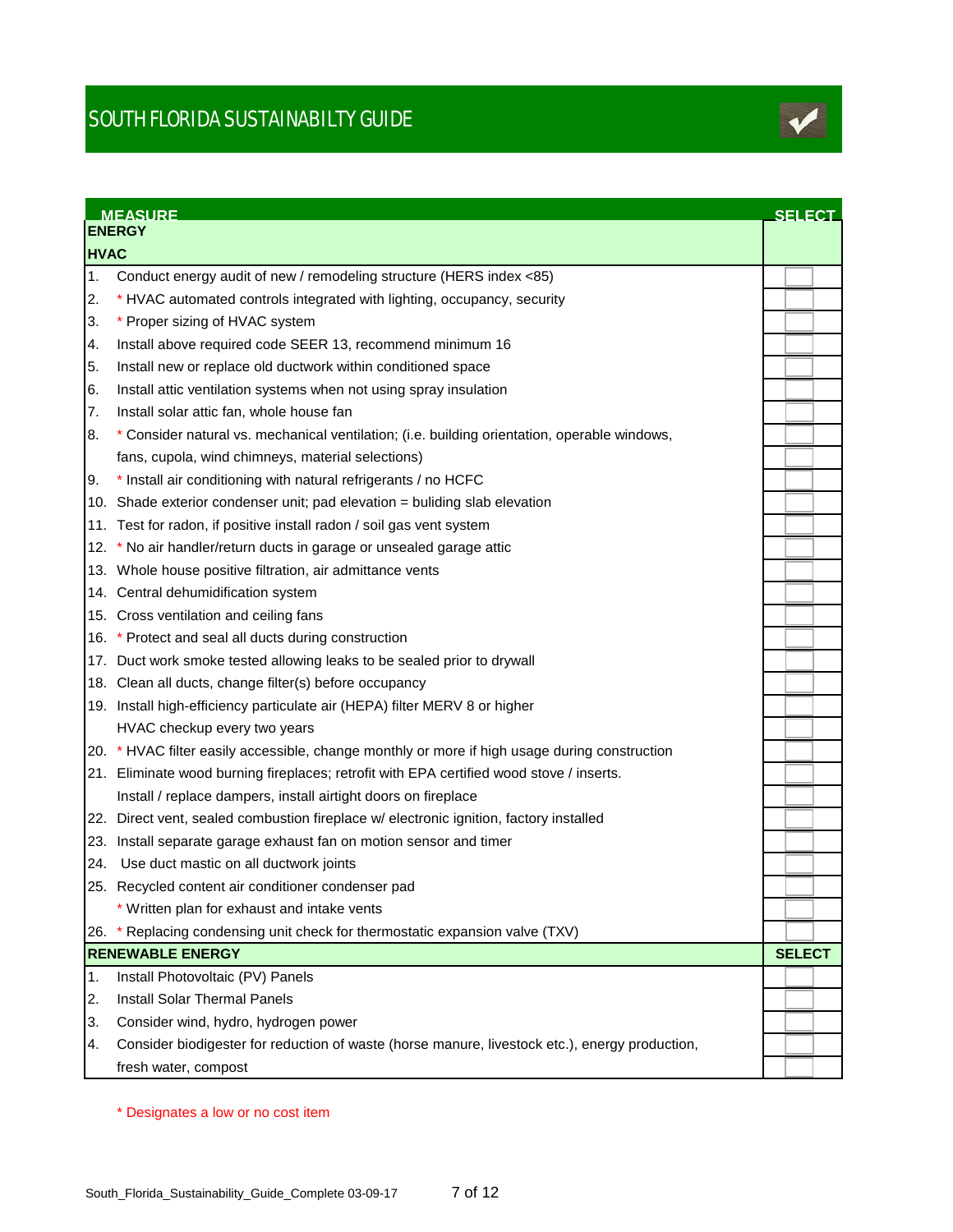

|             | <b>MEASURE</b><br><b>ENERGY</b>                                                                | <b>SELECT</b> |
|-------------|------------------------------------------------------------------------------------------------|---------------|
| <b>HVAC</b> |                                                                                                |               |
| 1.          | Conduct energy audit of new / remodeling structure (HERS index <85)                            |               |
| 2.          | * HVAC automated controls integrated with lighting, occupancy, security                        |               |
| 3.          | * Proper sizing of HVAC system                                                                 |               |
| 4.          | Install above required code SEER 13, recommend minimum 16                                      |               |
| 5.          | Install new or replace old ductwork within conditioned space                                   |               |
| 6.          | Install attic ventilation systems when not using spray insulation                              |               |
| 7.          | Install solar attic fan, whole house fan                                                       |               |
| 8.          | * Consider natural vs. mechanical ventilation; (i.e. building orientation, operable windows,   |               |
|             | fans, cupola, wind chimneys, material selections)                                              |               |
| 9.          | * Install air conditioning with natural refrigerants / no HCFC                                 |               |
|             | 10. Shade exterior condenser unit; pad elevation = buliding slab elevation                     |               |
|             | 11. Test for radon, if positive install radon / soil gas vent system                           |               |
|             | 12. * No air handler/return ducts in garage or unsealed garage attic                           |               |
|             | 13. Whole house positive filtration, air admittance vents                                      |               |
|             | 14. Central dehumidification system                                                            |               |
|             | 15. Cross ventilation and ceiling fans                                                         |               |
|             | 16. * Protect and seal all ducts during construction                                           |               |
|             | 17. Duct work smoke tested allowing leaks to be sealed prior to drywall                        |               |
|             | 18. Clean all ducts, change filter(s) before occupancy                                         |               |
|             | 19. Install high-efficiency particulate air (HEPA) filter MERV 8 or higher                     |               |
|             | HVAC checkup every two years                                                                   |               |
|             | 20. * HVAC filter easily accessible, change monthly or more if high usage during construction  |               |
|             | 21. Eliminate wood burning fireplaces; retrofit with EPA certified wood stove / inserts.       |               |
|             | Install / replace dampers, install airtight doors on fireplace                                 |               |
|             | 22. Direct vent, sealed combustion fireplace w/ electronic ignition, factory installed         |               |
|             | 23. Install separate garage exhaust fan on motion sensor and timer                             |               |
|             | 24. Use duct mastic on all ductwork joints                                                     |               |
|             | 25. Recycled content air conditioner condenser pad                                             |               |
|             | * Written plan for exhaust and intake vents                                                    |               |
| 26.         | * Replacing condensing unit check for thermostatic expansion valve (TXV)                       |               |
|             | <b>RENEWABLE ENERGY</b>                                                                        | <b>SELECT</b> |
| 1.          | Install Photovoltaic (PV) Panels                                                               |               |
| 2.          | <b>Install Solar Thermal Panels</b>                                                            |               |
| 3.          | Consider wind, hydro, hydrogen power                                                           |               |
| 4.          | Consider biodigester for reduction of waste (horse manure, livestock etc.), energy production, |               |
|             | fresh water, compost                                                                           |               |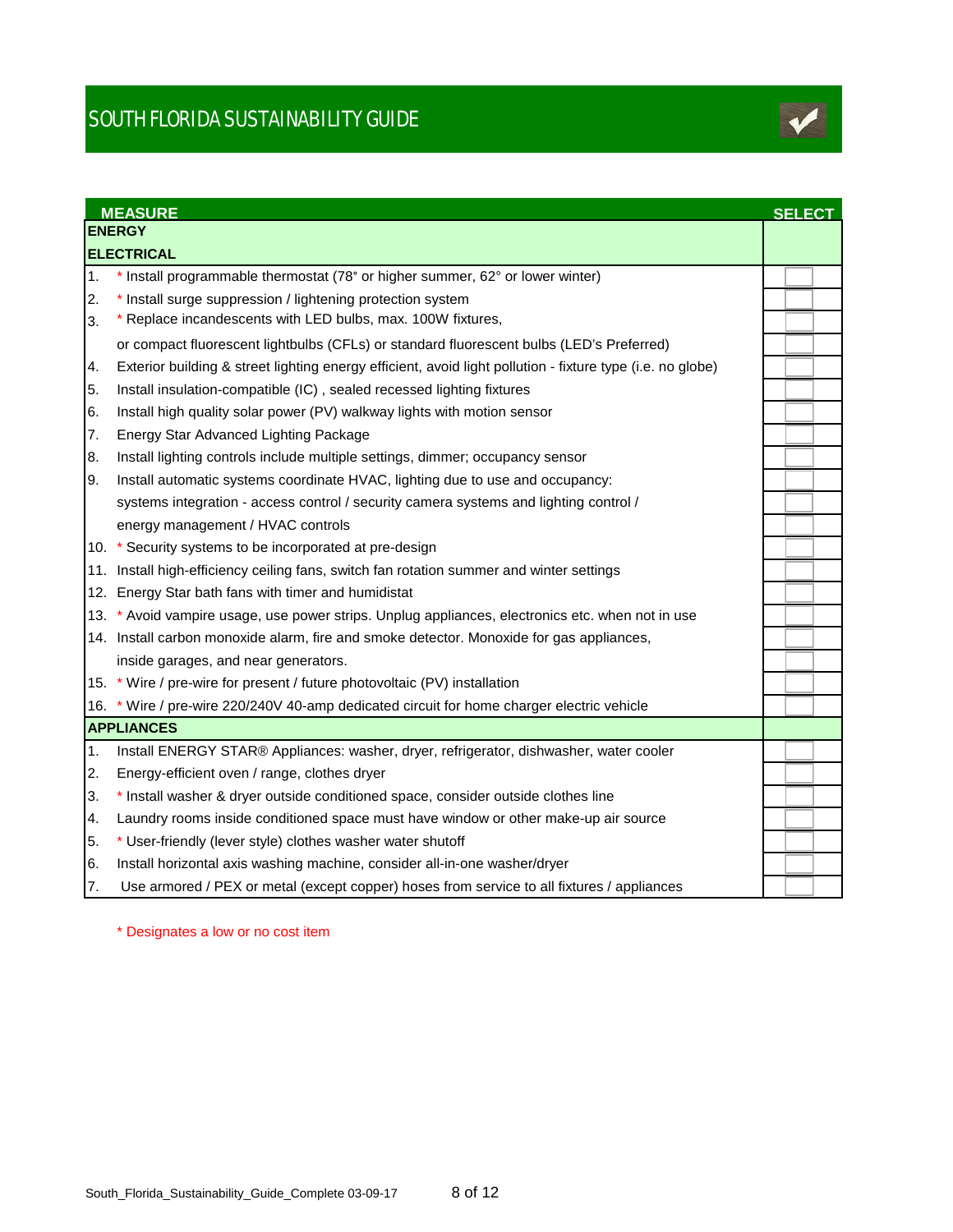

|                  | <b>MEASURE</b>                                                                                             | <b>SELECT</b> |
|------------------|------------------------------------------------------------------------------------------------------------|---------------|
|                  | <b>ENERGY</b>                                                                                              |               |
|                  | <b>ELECTRICAL</b>                                                                                          |               |
| $\overline{1}$ . | * Install programmable thermostat (78° or higher summer, 62° or lower winter)                              |               |
| 2.               | * Install surge suppression / lightening protection system                                                 |               |
| 3.               | * Replace incandescents with LED bulbs, max. 100W fixtures,                                                |               |
|                  | or compact fluorescent lightbulbs (CFLs) or standard fluorescent bulbs (LED's Preferred)                   |               |
| 4.               | Exterior building & street lighting energy efficient, avoid light pollution - fixture type (i.e. no globe) |               |
| 5.               | Install insulation-compatible (IC), sealed recessed lighting fixtures                                      |               |
| 6.               | Install high quality solar power (PV) walkway lights with motion sensor                                    |               |
| 7.               | Energy Star Advanced Lighting Package                                                                      |               |
| 8.               | Install lighting controls include multiple settings, dimmer; occupancy sensor                              |               |
| 9.               | Install automatic systems coordinate HVAC, lighting due to use and occupancy:                              |               |
|                  | systems integration - access control / security camera systems and lighting control /                      |               |
|                  | energy management / HVAC controls                                                                          |               |
|                  | 10. * Security systems to be incorporated at pre-design                                                    |               |
|                  | 11. Install high-efficiency ceiling fans, switch fan rotation summer and winter settings                   |               |
|                  | 12. Energy Star bath fans with timer and humidistat                                                        |               |
|                  | 13. * Avoid vampire usage, use power strips. Unplug appliances, electronics etc. when not in use           |               |
|                  | 14. Install carbon monoxide alarm, fire and smoke detector. Monoxide for gas appliances,                   |               |
|                  | inside garages, and near generators.                                                                       |               |
|                  | 15. * Wire / pre-wire for present / future photovoltaic (PV) installation                                  |               |
|                  | 16. * Wire / pre-wire 220/240V 40-amp dedicated circuit for home charger electric vehicle                  |               |
|                  | <b>APPLIANCES</b>                                                                                          |               |
| 1.               | Install ENERGY STAR® Appliances: washer, dryer, refrigerator, dishwasher, water cooler                     |               |
| 2.               | Energy-efficient oven / range, clothes dryer                                                               |               |
| 3.               | * Install washer & dryer outside conditioned space, consider outside clothes line                          |               |
| 4.               | Laundry rooms inside conditioned space must have window or other make-up air source                        |               |
| 5.               | * User-friendly (lever style) clothes washer water shutoff                                                 |               |
| 6.               | Install horizontal axis washing machine, consider all-in-one washer/dryer                                  |               |
| 7.               | Use armored / PEX or metal (except copper) hoses from service to all fixtures / appliances                 |               |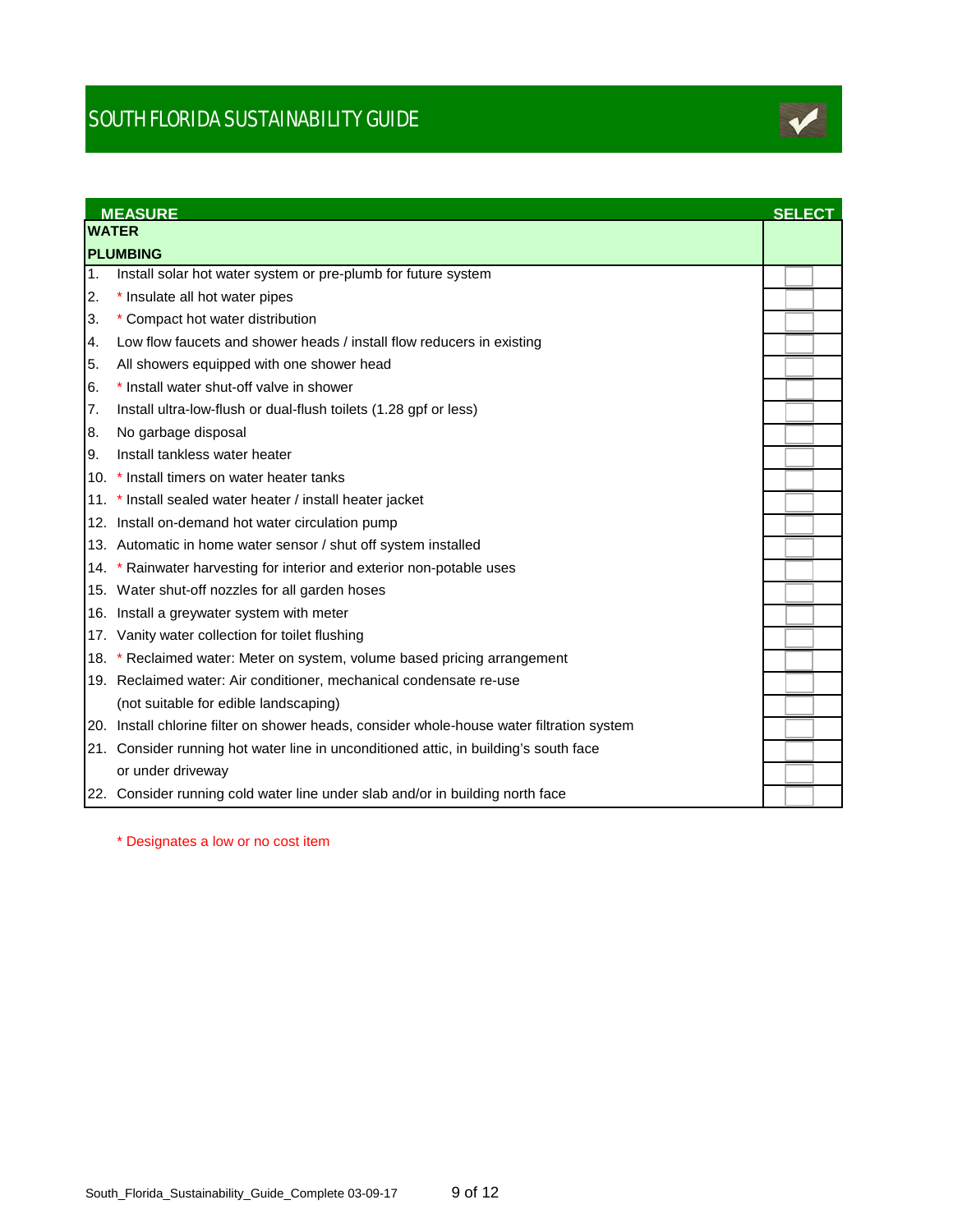

|    | <b>MEASURE</b>                                                                            | <b>SELECT</b> |  |
|----|-------------------------------------------------------------------------------------------|---------------|--|
|    | <b>WATER</b>                                                                              |               |  |
|    | <b>PLUMBING</b>                                                                           |               |  |
| 1. | Install solar hot water system or pre-plumb for future system                             |               |  |
| 2. | * Insulate all hot water pipes                                                            |               |  |
| 3. | * Compact hot water distribution                                                          |               |  |
| 4. | Low flow faucets and shower heads / install flow reducers in existing                     |               |  |
| 5. | All showers equipped with one shower head                                                 |               |  |
| 6. | * Install water shut-off valve in shower                                                  |               |  |
| 7. | Install ultra-low-flush or dual-flush toilets (1.28 gpf or less)                          |               |  |
| 8. | No garbage disposal                                                                       |               |  |
| 9. | Install tankless water heater                                                             |               |  |
|    | 10. * Install timers on water heater tanks                                                |               |  |
|    | 11. * Install sealed water heater / install heater jacket                                 |               |  |
|    | 12. Install on-demand hot water circulation pump                                          |               |  |
|    | 13. Automatic in home water sensor / shut off system installed                            |               |  |
|    | 14. * Rainwater harvesting for interior and exterior non-potable uses                     |               |  |
|    | 15. Water shut-off nozzles for all garden hoses                                           |               |  |
|    | 16. Install a greywater system with meter                                                 |               |  |
|    | 17. Vanity water collection for toilet flushing                                           |               |  |
|    | 18. * Reclaimed water: Meter on system, volume based pricing arrangement                  |               |  |
|    | 19. Reclaimed water: Air conditioner, mechanical condensate re-use                        |               |  |
|    | (not suitable for edible landscaping)                                                     |               |  |
|    | 20. Install chlorine filter on shower heads, consider whole-house water filtration system |               |  |
|    | 21. Consider running hot water line in unconditioned attic, in building's south face      |               |  |
|    | or under driveway                                                                         |               |  |
|    | 22. Consider running cold water line under slab and/or in building north face             |               |  |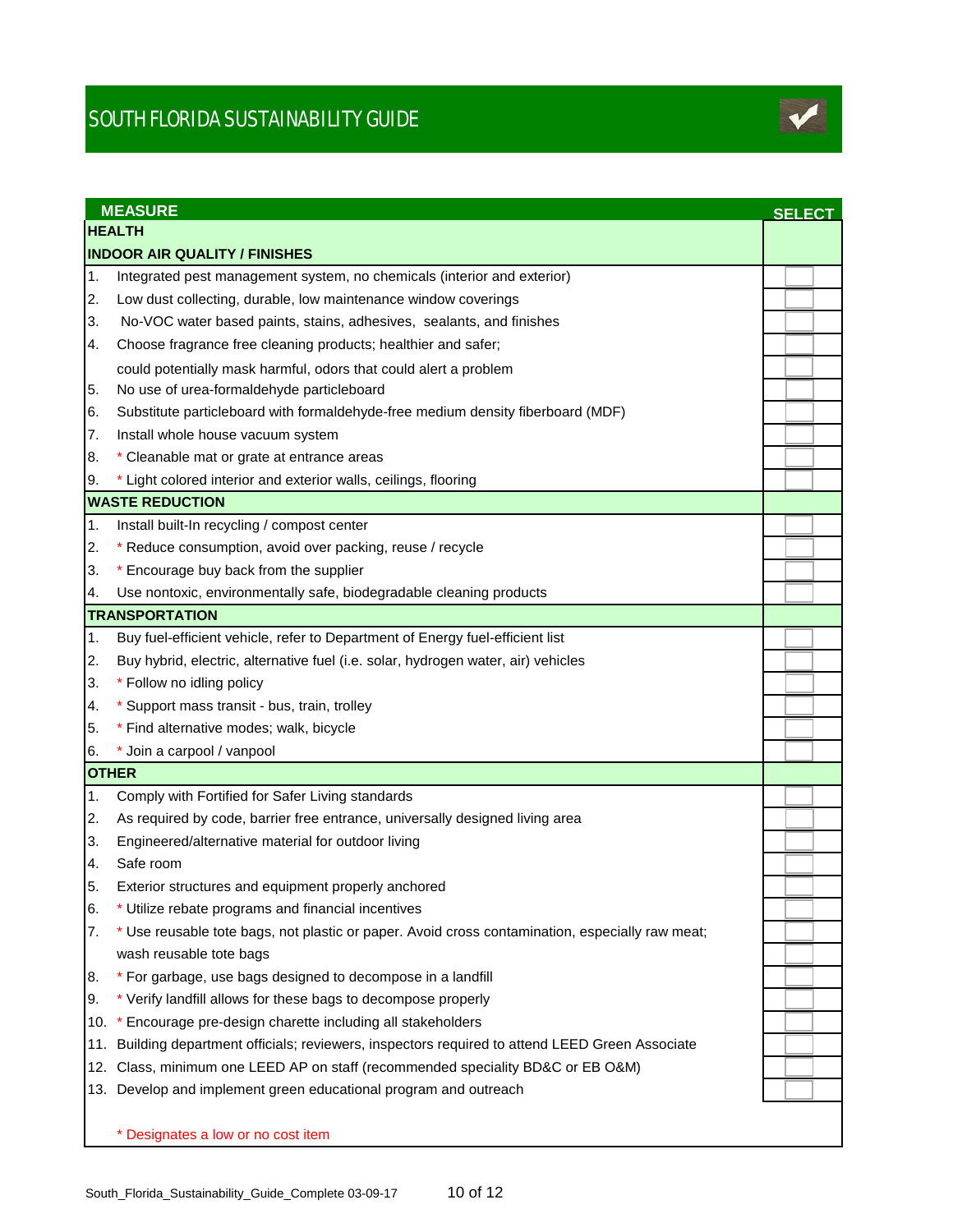

|     | <b>MEASURE</b>                                                                                  |               |
|-----|-------------------------------------------------------------------------------------------------|---------------|
|     | <b>HEALTH</b>                                                                                   | <b>SELECT</b> |
|     | <b>INDOOR AIR QUALITY / FINISHES</b>                                                            |               |
| 1.  | Integrated pest management system, no chemicals (interior and exterior)                         |               |
| 2.  | Low dust collecting, durable, low maintenance window coverings                                  |               |
| 3.  | No-VOC water based paints, stains, adhesives, sealants, and finishes                            |               |
| 4.  | Choose fragrance free cleaning products; healthier and safer;                                   |               |
|     | could potentially mask harmful, odors that could alert a problem                                |               |
| 5.  | No use of urea-formaldehyde particleboard                                                       |               |
| 6.  | Substitute particleboard with formaldehyde-free medium density fiberboard (MDF)                 |               |
| 7.  | Install whole house vacuum system                                                               |               |
| 8.  | * Cleanable mat or grate at entrance areas                                                      |               |
| Ι9. | * Light colored interior and exterior walls, ceilings, flooring                                 |               |
|     | <b>WASTE REDUCTION</b>                                                                          |               |
| 1.  | Install built-In recycling / compost center                                                     |               |
| 2.  | * Reduce consumption, avoid over packing, reuse / recycle                                       |               |
| 3.  | * Encourage buy back from the supplier                                                          |               |
| 4.  | Use nontoxic, environmentally safe, biodegradable cleaning products                             |               |
|     | <b>TRANSPORTATION</b>                                                                           |               |
| 1.  | Buy fuel-efficient vehicle, refer to Department of Energy fuel-efficient list                   |               |
| 2.  | Buy hybrid, electric, alternative fuel (i.e. solar, hydrogen water, air) vehicles               |               |
| 3.  | * Follow no idling policy                                                                       |               |
| 4.  | * Support mass transit - bus, train, trolley                                                    |               |
| 5.  | * Find alternative modes; walk, bicycle                                                         |               |
| 16. | Join a carpool / vanpool                                                                        |               |
|     | <b>OTHER</b>                                                                                    |               |
| 1.  | Comply with Fortified for Safer Living standards                                                |               |
| 2.  | As required by code, barrier free entrance, universally designed living area                    |               |
| 3.  | Engineered/alternative material for outdoor living                                              |               |
| 4.  | Safe room                                                                                       |               |
| 5.  | Exterior structures and equipment properly anchored                                             |               |
| 6.  | * Utilize rebate programs and financial incentives                                              |               |
| 7.  | * Use reusable tote bags, not plastic or paper. Avoid cross contamination, especially raw meat; |               |
|     | wash reusable tote bags                                                                         |               |
| 8.  | * For garbage, use bags designed to decompose in a landfill                                     |               |
| 9.  | * Verify landfill allows for these bags to decompose properly                                   |               |
| 10. | * Encourage pre-design charette including all stakeholders                                      |               |
| 11. | Building department officials; reviewers, inspectors required to attend LEED Green Associate    |               |
| 12. | Class, minimum one LEED AP on staff (recommended speciality BD&C or EB O&M)                     |               |
|     | 13. Develop and implement green educational program and outreach                                |               |
|     | * Designates a low or no cost item                                                              |               |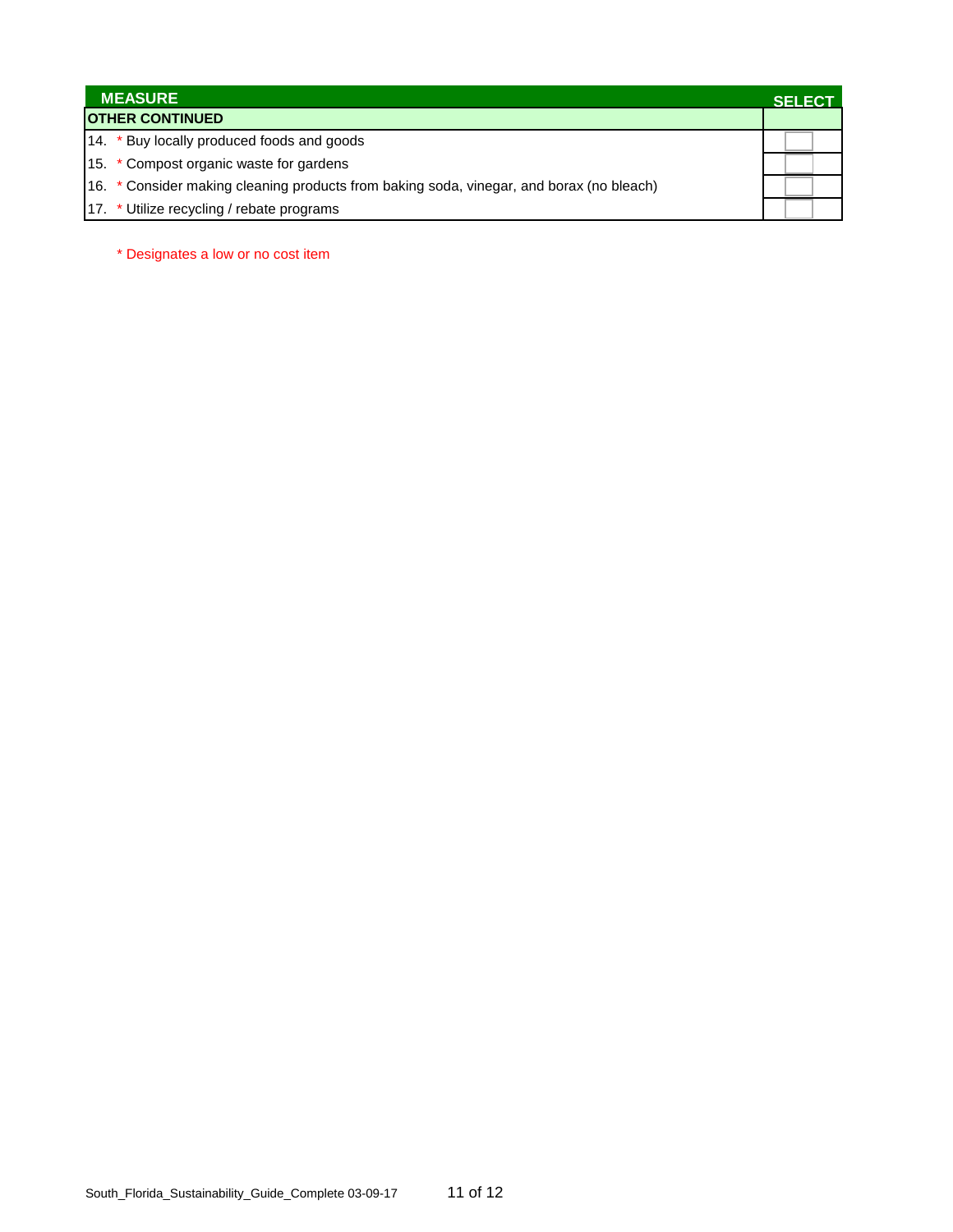| <b>MEASURE</b>                                                                           | <b>SELECT</b> |
|------------------------------------------------------------------------------------------|---------------|
| <b>OTHER CONTINUED</b>                                                                   |               |
| 14. * Buy locally produced foods and goods                                               |               |
| 15. * Compost organic waste for gardens                                                  |               |
| 16. * Consider making cleaning products from baking soda, vinegar, and borax (no bleach) |               |
| 17. * Utilize recycling / rebate programs                                                |               |